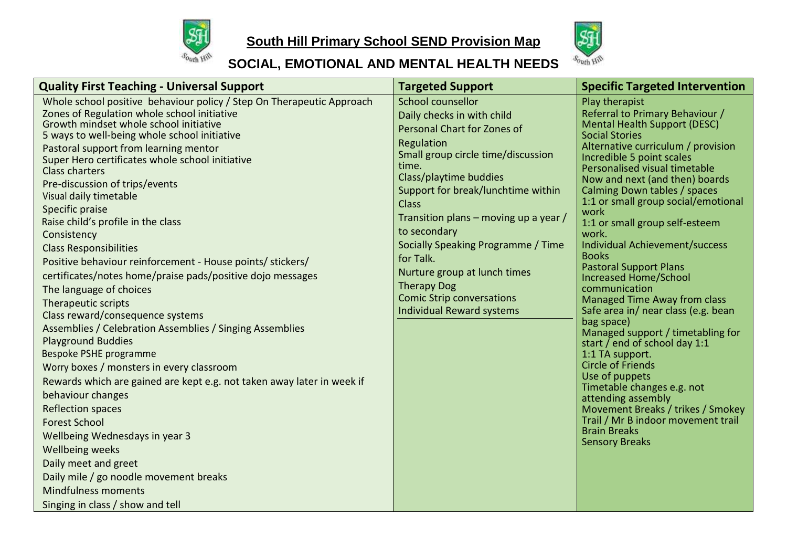

## **South Hill Primary School SEND Provision Map**



## **SOCIAL, EMOTIONAL AND MENTAL HEALTH NEEDS**

| <b>Quality First Teaching - Universal Support</b>                                                                                                                                                                                                                                                                                                                                                                                                                                                                                                                                                                                                                                                                                                                                                                                                                                                                                                                                                                                                                                                                                                                                                                                             | <b>Targeted Support</b>                                                                                                                                                                                                                                                                                                                                                                                                                                               | <b>Specific Targeted Intervention</b>                                                                                                                                                                                                                                                                                                                                                                                                                                                                                                                                                                                                                                                                                                                                                                                                                                                                                                   |
|-----------------------------------------------------------------------------------------------------------------------------------------------------------------------------------------------------------------------------------------------------------------------------------------------------------------------------------------------------------------------------------------------------------------------------------------------------------------------------------------------------------------------------------------------------------------------------------------------------------------------------------------------------------------------------------------------------------------------------------------------------------------------------------------------------------------------------------------------------------------------------------------------------------------------------------------------------------------------------------------------------------------------------------------------------------------------------------------------------------------------------------------------------------------------------------------------------------------------------------------------|-----------------------------------------------------------------------------------------------------------------------------------------------------------------------------------------------------------------------------------------------------------------------------------------------------------------------------------------------------------------------------------------------------------------------------------------------------------------------|-----------------------------------------------------------------------------------------------------------------------------------------------------------------------------------------------------------------------------------------------------------------------------------------------------------------------------------------------------------------------------------------------------------------------------------------------------------------------------------------------------------------------------------------------------------------------------------------------------------------------------------------------------------------------------------------------------------------------------------------------------------------------------------------------------------------------------------------------------------------------------------------------------------------------------------------|
| Whole school positive behaviour policy / Step On Therapeutic Approach<br>Zones of Regulation whole school initiative<br>Growth mindset whole school initiative<br>5 ways to well-being whole school initiative<br>Pastoral support from learning mentor<br>Super Hero certificates whole school initiative<br><b>Class charters</b><br>Pre-discussion of trips/events<br>Visual daily timetable<br>Specific praise<br>Raise child's profile in the class<br>Consistency<br><b>Class Responsibilities</b><br>Positive behaviour reinforcement - House points/ stickers/<br>certificates/notes home/praise pads/positive dojo messages<br>The language of choices<br>Therapeutic scripts<br>Class reward/consequence systems<br>Assemblies / Celebration Assemblies / Singing Assemblies<br><b>Playground Buddies</b><br>Bespoke PSHE programme<br>Worry boxes / monsters in every classroom<br>Rewards which are gained are kept e.g. not taken away later in week if<br>behaviour changes<br><b>Reflection spaces</b><br><b>Forest School</b><br>Wellbeing Wednesdays in year 3<br><b>Wellbeing weeks</b><br>Daily meet and greet<br>Daily mile / go noodle movement breaks<br><b>Mindfulness moments</b><br>Singing in class / show and tell | School counsellor<br>Daily checks in with child<br>Personal Chart for Zones of<br>Regulation<br>Small group circle time/discussion<br>time.<br>Class/playtime buddies<br>Support for break/lunchtime within<br><b>Class</b><br>Transition plans – moving up a year /<br>to secondary<br>Socially Speaking Programme / Time<br>for Talk.<br>Nurture group at lunch times<br><b>Therapy Dog</b><br><b>Comic Strip conversations</b><br><b>Individual Reward systems</b> | Play therapist<br>Referral to Primary Behaviour /<br><b>Mental Health Support (DESC)</b><br><b>Social Stories</b><br>Alternative curriculum / provision<br>Incredible 5 point scales<br>Personalised visual timetable<br>Now and next (and then) boards<br>Calming Down tables / spaces<br>1:1 or small group social/emotional<br>work<br>1:1 or small group self-esteem<br>work.<br>Individual Achievement/success<br><b>Books</b><br><b>Pastoral Support Plans</b><br><b>Increased Home/School</b><br>communication<br><b>Managed Time Away from class</b><br>Safe area in/ near class (e.g. bean<br>bag space)<br>Managed support / timetabling for<br>start / end of school day 1:1<br>1:1 TA support.<br><b>Circle of Friends</b><br>Use of puppets<br>Timetable changes e.g. not<br>attending assembly<br>Movement Breaks / trikes / Smokey<br>Trail / Mr B indoor movement trail<br><b>Brain Breaks</b><br><b>Sensory Breaks</b> |